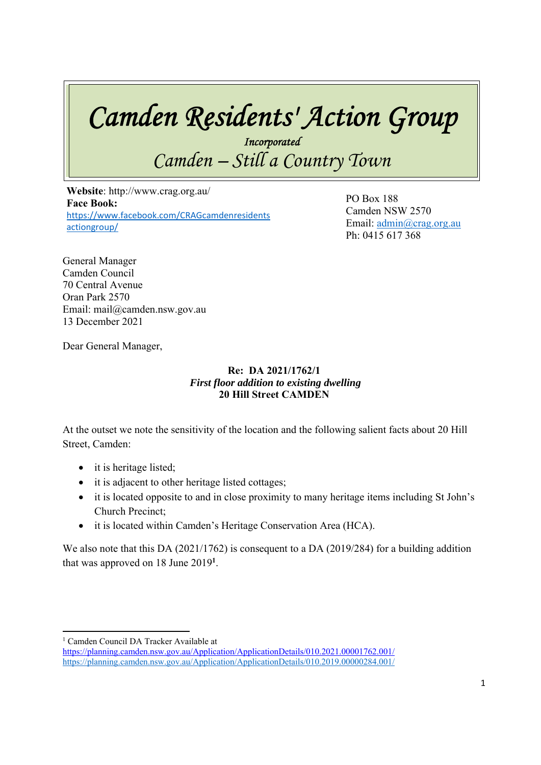# *Camden Residents' Action Group*

*Incorporated Camden – Still a Country Town* 

 **Website**: http://www.crag.org.au/ **Face Book:**  https://www.facebook.com/CRAGcamdenresidents actiongroup/

PO Box 188 Camden NSW 2570 Email: admin@crag.org.au Ph: 0415 617 368

General Manager Camden Council 70 Central Avenue Oran Park 2570 Email: mail@camden.nsw.gov.au 13 December 2021

Dear General Manager,

#### **Re: DA 2021/1762/1**   *First floor addition to existing dwelling*  **20 Hill Street CAMDEN**

At the outset we note the sensitivity of the location and the following salient facts about 20 Hill Street, Camden:

- it is heritage listed;
- it is adjacent to other heritage listed cottages;
- it is located opposite to and in close proximity to many heritage items including St John's Church Precinct;
- it is located within Camden's Heritage Conservation Area (HCA).

We also note that this DA (2021/1762) is consequent to a DA (2019/284) for a building addition that was approved on 18 June 2019**<sup>1</sup>** .

<sup>&</sup>lt;sup>1</sup> Camden Council DA Tracker Available at

https://planning.camden.nsw.gov.au/Application/ApplicationDetails/010.2021.00001762.001/ https://planning.camden.nsw.gov.au/Application/ApplicationDetails/010.2019.00000284.001/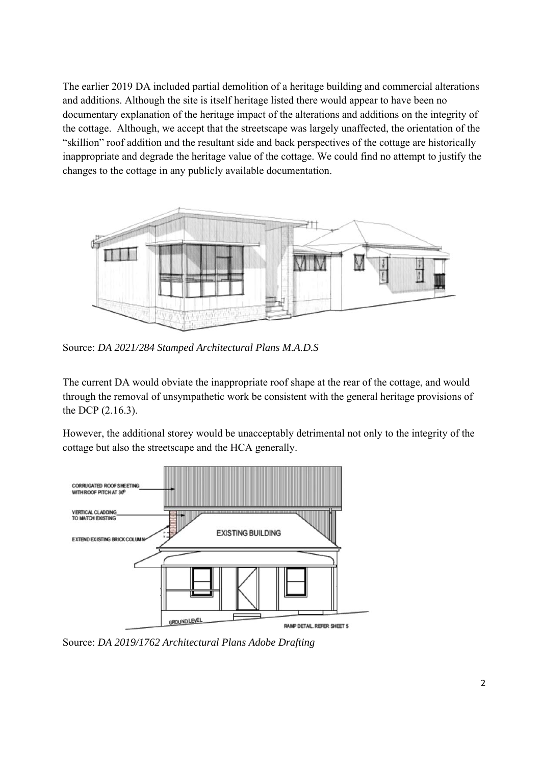The earlier 2019 DA included partial demolition of a heritage building and commercial alterations and additions. Although the site is itself heritage listed there would appear to have been no documentary explanation of the heritage impact of the alterations and additions on the integrity of the cottage. Although, we accept that the streetscape was largely unaffected, the orientation of the "skillion" roof addition and the resultant side and back perspectives of the cottage are historically inappropriate and degrade the heritage value of the cottage. We could find no attempt to justify the changes to the cottage in any publicly available documentation.



Source: *DA 2021/284 Stamped Architectural Plans M.A.D.S*

The current DA would obviate the inappropriate roof shape at the rear of the cottage, and would through the removal of unsympathetic work be consistent with the general heritage provisions of the DCP (2.16.3).

However, the additional storey would be unacceptably detrimental not only to the integrity of the cottage but also the streetscape and the HCA generally.



Source: *DA 2019/1762 Architectural Plans Adobe Drafting*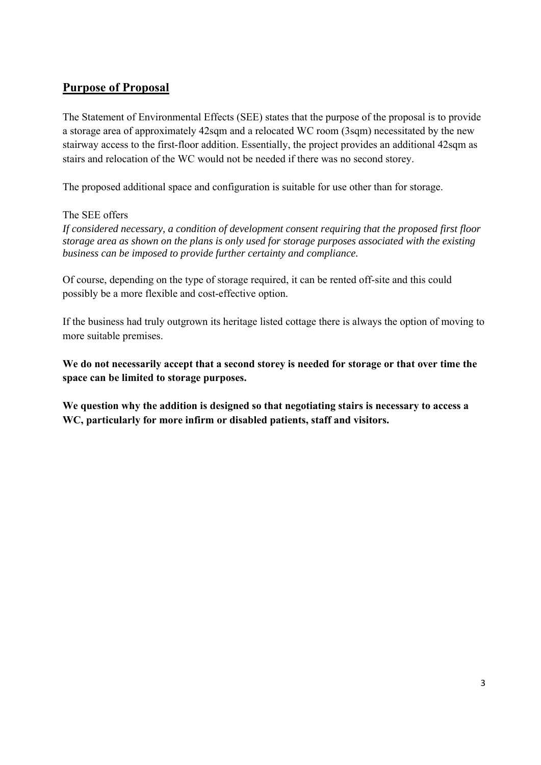## **Purpose of Proposal**

The Statement of Environmental Effects (SEE) states that the purpose of the proposal is to provide a storage area of approximately 42sqm and a relocated WC room (3sqm) necessitated by the new stairway access to the first-floor addition. Essentially, the project provides an additional 42sqm as stairs and relocation of the WC would not be needed if there was no second storey.

The proposed additional space and configuration is suitable for use other than for storage.

#### The SEE offers

*If considered necessary, a condition of development consent requiring that the proposed first floor storage area as shown on the plans is only used for storage purposes associated with the existing business can be imposed to provide further certainty and compliance.* 

Of course, depending on the type of storage required, it can be rented off-site and this could possibly be a more flexible and cost-effective option.

If the business had truly outgrown its heritage listed cottage there is always the option of moving to more suitable premises.

**We do not necessarily accept that a second storey is needed for storage or that over time the space can be limited to storage purposes.** 

**We question why the addition is designed so that negotiating stairs is necessary to access a WC, particularly for more infirm or disabled patients, staff and visitors.**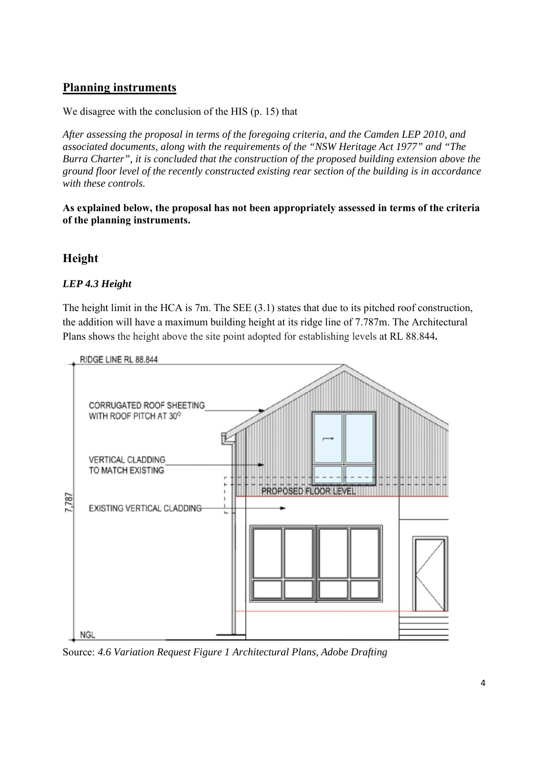## **Planning instruments**

We disagree with the conclusion of the HIS (p. 15) that

*After assessing the proposal in terms of the foregoing criteria, and the Camden LEP 2010, and associated documents, along with the requirements of the "NSW Heritage Act 1977" and "The Burra Charter", it is concluded that the construction of the proposed building extension above the ground floor level of the recently constructed existing rear section of the building is in accordance with these controls.* 

**As explained below, the proposal has not been appropriately assessed in terms of the criteria of the planning instruments.** 

## **Height**

#### *LEP 4.3 Height*

The height limit in the HCA is 7m. The SEE (3.1) states that due to its pitched roof construction, the addition will have a maximum building height at its ridge line of 7.787m. The Architectural Plans shows the height above the site point adopted for establishing levels at RL 88.844**.** 



Source: *4.6 Variation Request Figure 1 Architectural Plans, Adobe Drafting*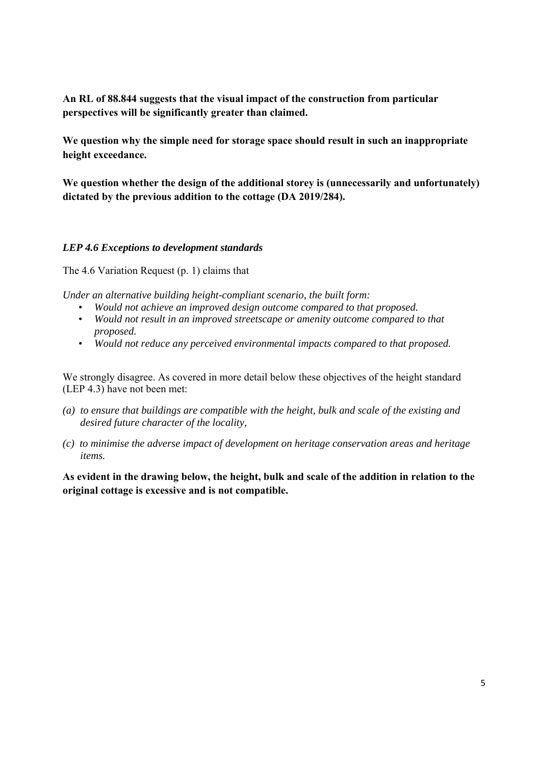**An RL of 88.844 suggests that the visual impact of the construction from particular perspectives will be significantly greater than claimed.** 

**We question why the simple need for storage space should result in such an inappropriate height exceedance.** 

**We question whether the design of the additional storey is (unnecessarily and unfortunately) dictated by the previous addition to the cottage (DA 2019/284).** 

#### *LEP 4.6 Exceptions to development standards*

The 4.6 Variation Request (p. 1) claims that

*Under an alternative building height-compliant scenario, the built form:* 

- *Would not achieve an improved design outcome compared to that proposed.*
- *Would not result in an improved streetscape or amenity outcome compared to that proposed.*
- *Would not reduce any perceived environmental impacts compared to that proposed.*

We strongly disagree. As covered in more detail below these objectives of the height standard (LEP 4.3) have not been met:

- *(a) to ensure that buildings are compatible with the height, bulk and scale of the existing and desired future character of the locality,*
- *(c) to minimise the adverse impact of development on heritage conservation areas and heritage items.*

**As evident in the drawing below, the height, bulk and scale of the addition in relation to the original cottage is excessive and is not compatible.**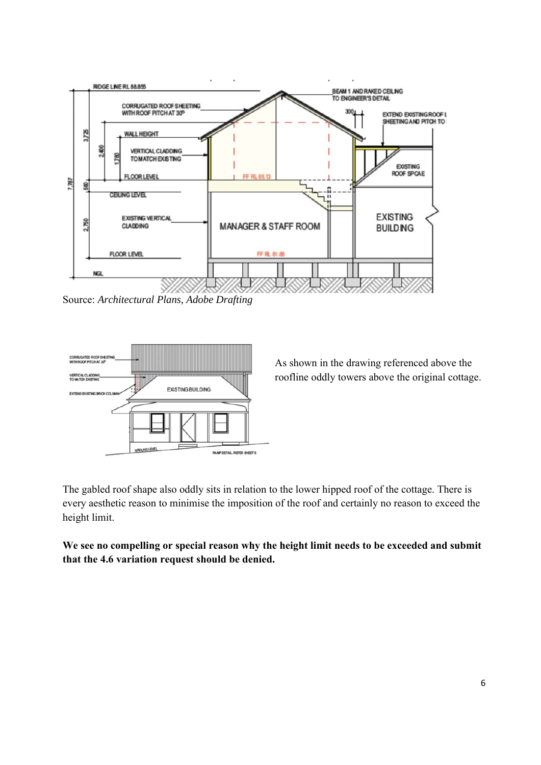

Source: *Architectural Plans, Adobe Drafting* 



As shown in the drawing referenced above the roofline oddly towers above the original cottage.

The gabled roof shape also oddly sits in relation to the lower hipped roof of the cottage. There is every aesthetic reason to minimise the imposition of the roof and certainly no reason to exceed the height limit.

**We see no compelling or special reason why the height limit needs to be exceeded and submit that the 4.6 variation request should be denied.**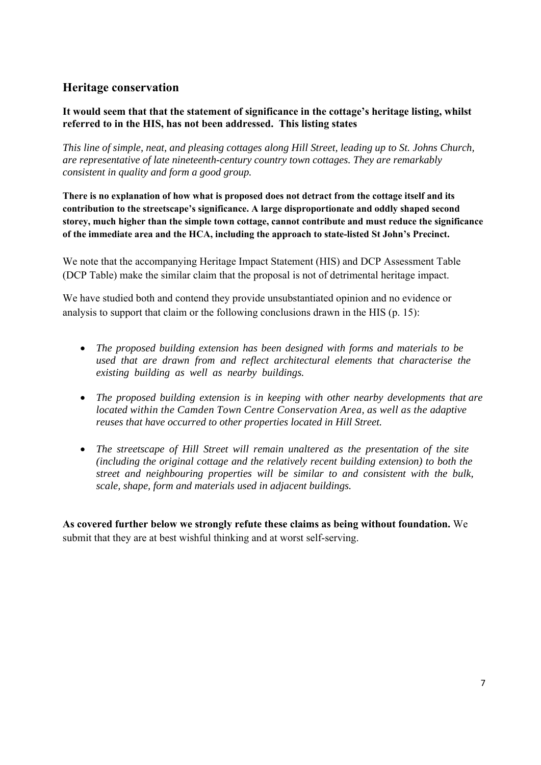## **Heritage conservation**

#### **It would seem that that the statement of significance in the cottage's heritage listing, whilst referred to in the HIS, has not been addressed. This listing states**

*This line of simple, neat, and pleasing cottages along Hill Street, leading up to St. Johns Church, are representative of late nineteenth-century country town cottages. They are remarkably consistent in quality and form a good group.* 

**There is no explanation of how what is proposed does not detract from the cottage itself and its contribution to the streetscape's significance. A large disproportionate and oddly shaped second storey, much higher than the simple town cottage, cannot contribute and must reduce the significance of the immediate area and the HCA, including the approach to state-listed St John's Precinct.** 

We note that the accompanying Heritage Impact Statement (HIS) and DCP Assessment Table (DCP Table) make the similar claim that the proposal is not of detrimental heritage impact.

We have studied both and contend they provide unsubstantiated opinion and no evidence or analysis to support that claim or the following conclusions drawn in the HIS (p. 15):

- *The proposed building extension has been designed with forms and materials to be used that are drawn from and reflect architectural elements that characterise the existing building as well as nearby buildings.*
- *The proposed building extension is in keeping with other nearby developments that are located within the Camden Town Centre Conservation Area, as well as the adaptive reuses that have occurred to other properties located in Hill Street.*
- *The streetscape of Hill Street will remain unaltered as the presentation of the site (including the original cottage and the relatively recent building extension) to both the street and neighbouring properties will be similar to and consistent with the bulk, scale, shape, form and materials used in adjacent buildings.*

**As covered further below we strongly refute these claims as being without foundation.** We submit that they are at best wishful thinking and at worst self-serving.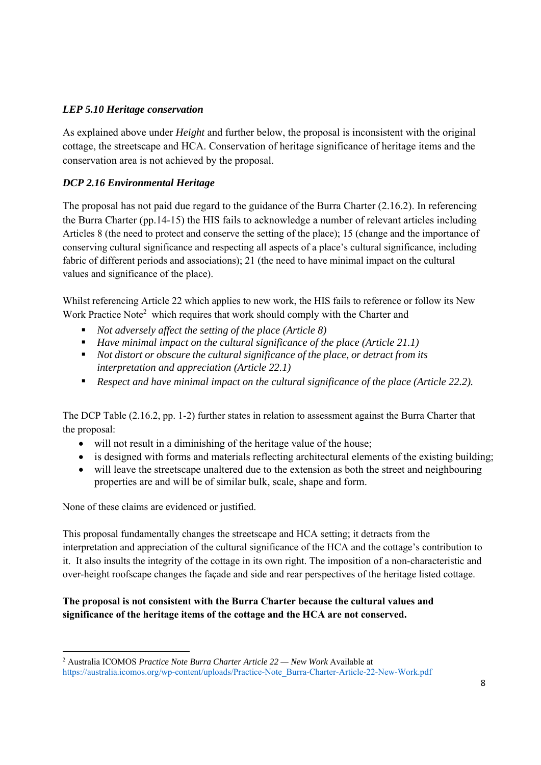#### *LEP 5.10 Heritage conservation*

As explained above under *Height* and further below, the proposal is inconsistent with the original cottage, the streetscape and HCA. Conservation of heritage significance of heritage items and the conservation area is not achieved by the proposal.

#### *DCP 2.16 Environmental Heritage*

The proposal has not paid due regard to the guidance of the Burra Charter (2.16.2). In referencing the Burra Charter (pp.14-15) the HIS fails to acknowledge a number of relevant articles including Articles 8 (the need to protect and conserve the setting of the place); 15 (change and the importance of conserving cultural significance and respecting all aspects of a place's cultural significance, including fabric of different periods and associations); 21 (the need to have minimal impact on the cultural values and significance of the place).

Whilst referencing Article 22 which applies to new work, the HIS fails to reference or follow its New Work Practice Note<sup>2</sup> which requires that work should comply with the Charter and

- *Not adversely affect the setting of the place (Article 8)*
- *Have minimal impact on the cultural significance of the place (Article 21.1)*
- *Not distort or obscure the cultural significance of the place, or detract from its interpretation and appreciation (Article 22.1)*
- *Respect and have minimal impact on the cultural significance of the place (Article 22.2).*

The DCP Table (2.16.2, pp. 1-2) further states in relation to assessment against the Burra Charter that the proposal:

- will not result in a diminishing of the heritage value of the house;
- is designed with forms and materials reflecting architectural elements of the existing building;
- will leave the streetscape unaltered due to the extension as both the street and neighbouring properties are and will be of similar bulk, scale, shape and form.

None of these claims are evidenced or justified.

This proposal fundamentally changes the streetscape and HCA setting; it detracts from the interpretation and appreciation of the cultural significance of the HCA and the cottage's contribution to it. It also insults the integrity of the cottage in its own right. The imposition of a non-characteristic and over-height roofscape changes the façade and side and rear perspectives of the heritage listed cottage.

#### **The proposal is not consistent with the Burra Charter because the cultural values and significance of the heritage items of the cottage and the HCA are not conserved.**

<sup>2</sup> Australia ICOMOS *Practice Note Burra Charter Article 22 — New Work* Available at https://australia.icomos.org/wp-content/uploads/Practice-Note\_Burra-Charter-Article-22-New-Work.pdf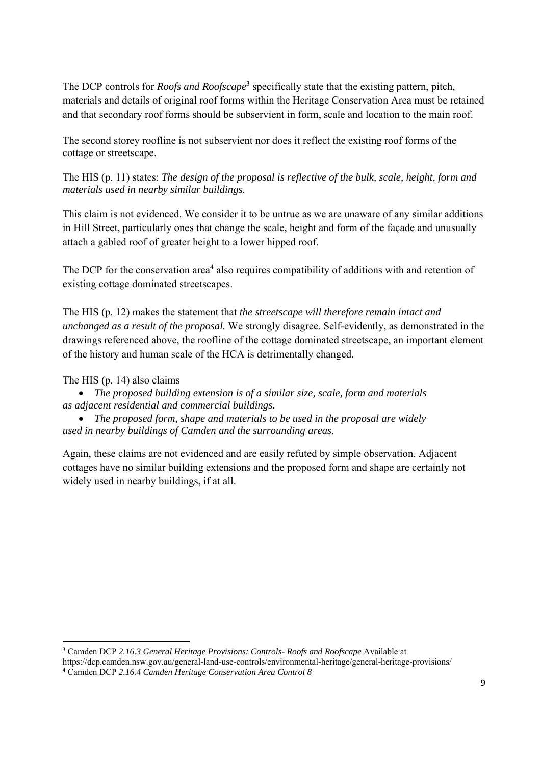The DCP controls for *Roofs and Roofscape*<sup>3</sup> specifically state that the existing pattern, pitch, materials and details of original roof forms within the Heritage Conservation Area must be retained and that secondary roof forms should be subservient in form, scale and location to the main roof.

The second storey roofline is not subservient nor does it reflect the existing roof forms of the cottage or streetscape.

The HIS (p. 11) states: *The design of the proposal is reflective of the bulk, scale, height, form and materials used in nearby similar buildings.* 

This claim is not evidenced. We consider it to be untrue as we are unaware of any similar additions in Hill Street, particularly ones that change the scale, height and form of the façade and unusually attach a gabled roof of greater height to a lower hipped roof.

The DCP for the conservation area<sup>4</sup> also requires compatibility of additions with and retention of existing cottage dominated streetscapes.

The HIS (p. 12) makes the statement that *the streetscape will therefore remain intact and unchanged as a result of the proposal.* We strongly disagree. Self-evidently, as demonstrated in the drawings referenced above, the roofline of the cottage dominated streetscape, an important element of the history and human scale of the HCA is detrimentally changed.

The HIS (p. 14) also claims

 *The proposed building extension is of a similar size, scale, form and materials as adjacent residential and commercial buildings.* 

 *The proposed form, shape and materials to be used in the proposal are widely used in nearby buildings of Camden and the surrounding areas.* 

Again, these claims are not evidenced and are easily refuted by simple observation. Adjacent cottages have no similar building extensions and the proposed form and shape are certainly not widely used in nearby buildings, if at all.

3 Camden DCP *2.16.3 General Heritage Provisions: Controls- Roofs and Roofscape* Available at

https://dcp.camden.nsw.gov.au/general-land-use-controls/environmental-heritage/general-heritage-provisions/ 4

Camden DCP *2.16.4 Camden Heritage Conservation Area Control 8*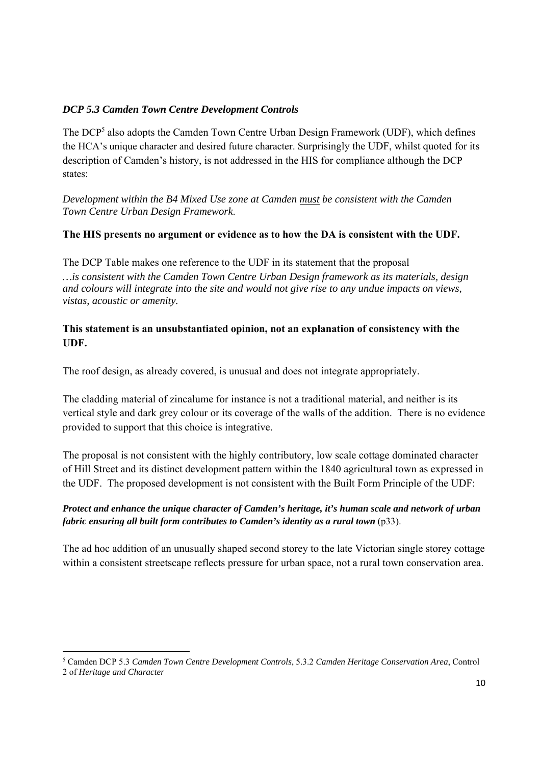#### *DCP 5.3 Camden Town Centre Development Controls*

The DCP<sup>5</sup> also adopts the Camden Town Centre Urban Design Framework (UDF), which defines the HCA's unique character and desired future character. Surprisingly the UDF, whilst quoted for its description of Camden's history, is not addressed in the HIS for compliance although the DCP states:

*Development within the B4 Mixed Use zone at Camden must be consistent with the Camden Town Centre Urban Design Framework*.

#### **The HIS presents no argument or evidence as to how the DA is consistent with the UDF.**

The DCP Table makes one reference to the UDF in its statement that the proposal *…is consistent with the Camden Town Centre Urban Design framework as its materials, design and colours will integrate into the site and would not give rise to any undue impacts on views, vistas, acoustic or amenity.*

#### **This statement is an unsubstantiated opinion, not an explanation of consistency with the UDF.**

The roof design, as already covered, is unusual and does not integrate appropriately.

The cladding material of zincalume for instance is not a traditional material, and neither is its vertical style and dark grey colour or its coverage of the walls of the addition. There is no evidence provided to support that this choice is integrative.

The proposal is not consistent with the highly contributory, low scale cottage dominated character of Hill Street and its distinct development pattern within the 1840 agricultural town as expressed in the UDF. The proposed development is not consistent with the Built Form Principle of the UDF:

#### *Protect and enhance the unique character of Camden's heritage, it's human scale and network of urban fabric ensuring all built form contributes to Camden's identity as a rural town* (p33).

The ad hoc addition of an unusually shaped second storey to the late Victorian single storey cottage within a consistent streetscape reflects pressure for urban space, not a rural town conservation area.

<sup>5</sup> Camden DCP 5.3 *Camden Town Centre Development Controls*, 5.3.2 *Camden Heritage Conservation Area*, Control 2 of *Heritage and Character*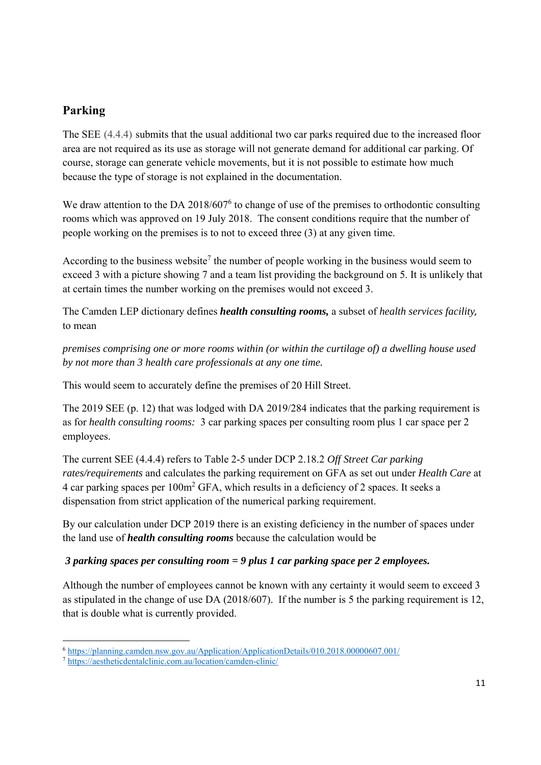# **Parking**

The SEE (4.4.4) submits that the usual additional two car parks required due to the increased floor area are not required as its use as storage will not generate demand for additional car parking. Of course, storage can generate vehicle movements, but it is not possible to estimate how much because the type of storage is not explained in the documentation.

We draw attention to the DA 2018/607<sup>6</sup> to change of use of the premises to orthodontic consulting rooms which was approved on 19 July 2018. The consent conditions require that the number of people working on the premises is to not to exceed three (3) at any given time.

According to the business website<sup>7</sup> the number of people working in the business would seem to exceed 3 with a picture showing 7 and a team list providing the background on 5. It is unlikely that at certain times the number working on the premises would not exceed 3.

The Camden LEP dictionary defines *health consulting rooms,* a subset of *health services facility,*  to mean

*premises comprising one or more rooms within (or within the curtilage of) a dwelling house used by not more than 3 health care professionals at any one time.* 

This would seem to accurately define the premises of 20 Hill Street.

The 2019 SEE (p. 12) that was lodged with DA 2019/284 indicates that the parking requirement is as for *health consulting rooms:* 3 car parking spaces per consulting room plus 1 car space per 2 employees.

The current SEE (4.4.4) refers to Table 2-5 under DCP 2.18.2 *Off Street Car parking rates/requirements* and calculates the parking requirement on GFA as set out under *Health Care* at 4 car parking spaces per  $100m^2$  GFA, which results in a deficiency of 2 spaces. It seeks a dispensation from strict application of the numerical parking requirement.

By our calculation under DCP 2019 there is an existing deficiency in the number of spaces under the land use of *health consulting rooms* because the calculation would be

## *3 parking spaces per consulting room = 9 plus 1 car parking space per 2 employees.*

Although the number of employees cannot be known with any certainty it would seem to exceed 3 as stipulated in the change of use DA (2018/607). If the number is 5 the parking requirement is 12, that is double what is currently provided.

<sup>6</sup> https://planning.camden.nsw.gov.au/Application/ApplicationDetails/010.2018.00000607.001/

<sup>7</sup> https://aestheticdentalclinic.com.au/location/camden-clinic/